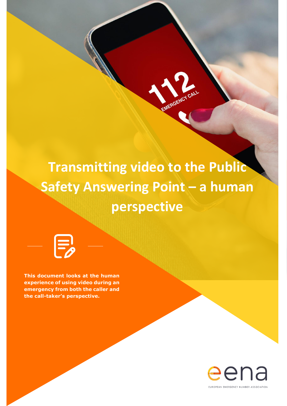# **Transmitting video to the Public Safety Answering Point – a human perspective**



This document looks at the human<br>experience of using video during an **emergency from both the caller and the call-taker's perspective.**

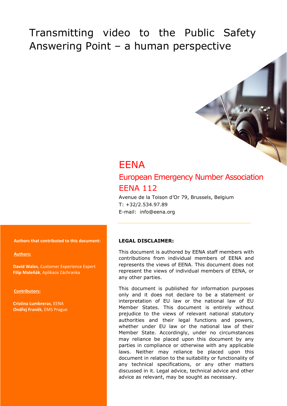## Transmitting video to the Public Safety Answering Point – a human perspective



## **FFNA**

## European Emergency Number Association **FFNA 112**

Avenue de la Toison d'Or 79, Brussels, Belgium T: +32/2.534.97.89 E-mail: info@eena.org

**Authors that contributed to this document:** 

**Authors:**

**David Wales**, Customer Experience Expert **Filip Maleňák**, Aplikace Záchranka

**Contributors:**

**Cristina Lumbreras**, EENA **Ondřej Franěk**, EMS Prague

#### **LEGAL DISCLAIMER:**

This document is authored by EENA staff members with contributions from individual members of EENA and represents the views of EENA. This document does not represent the views of individual members of EENA, or any other parties.

This document is published for information purposes only and it does not declare to be a statement or interpretation of EU law or the national law of EU Member States. This document is entirely without prejudice to the views of relevant national statutory authorities and their legal functions and powers, whether under EU law or the national law of their Member State. Accordingly, under no circumstances may reliance be placed upon this document by any parties in compliance or otherwise with any applicable laws. Neither may reliance be placed upon this document in relation to the suitability or functionality of any technical specifications, or any other matters discussed in it. Legal advice, technical advice and other advice as relevant, may be sought as necessary.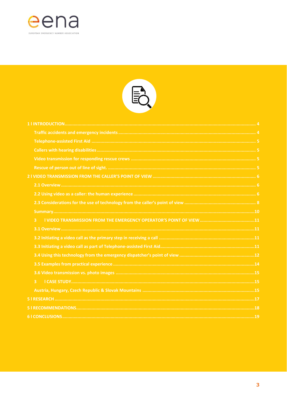



| $\overline{\mathbf{3}}$ |  |
|-------------------------|--|
|                         |  |
|                         |  |
|                         |  |
|                         |  |
|                         |  |
|                         |  |
| $\overline{3}$          |  |
|                         |  |
|                         |  |
|                         |  |
|                         |  |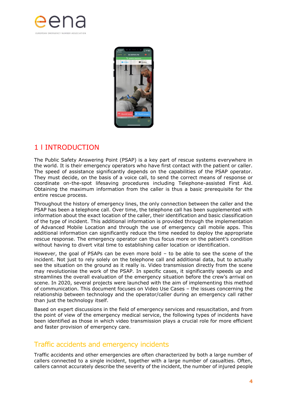



## <span id="page-3-0"></span>1 l INTRODUCTION

The Public Safety Answering Point (PSAP) is a key part of rescue systems everywhere in the world. It is their emergency operators who have first contact with the patient or caller. The speed of assistance significantly depends on the capabilities of the PSAP operator. They must decide, on the basis of a voice call, to send the correct means of response or coordinate on-the-spot lifesaving procedures including Telephone-assisted First Aid. Obtaining the maximum information from the caller is thus a basic prerequisite for the entire rescue process.

Throughout the history of emergency lines, the only connection between the caller and the PSAP has been a telephone call. Over time, the telephone call has been supplemented with information about the exact location of the caller, their identification and basic classification of the type of incident. This additional information is provided through the implementation of Advanced Mobile Location and through the use of emergency call mobile apps. This additional information can significantly reduce the time needed to deploy the appropriate rescue response. The emergency operator can thus focus more on the patient's condition without having to divert vital time to establishing caller location or identification.

However, the goal of PSAPs can be even more bold – to be able to see the scene of the incident. Not just to rely solely on the telephone call and additional data, but to actually see the situation on the ground as it really is. Video transmission directly from the scene may revolutionise the work of the PSAP. In specific cases, it significantly speeds up and streamlines the overall evaluation of the emergency situation before the crew's arrival on scene. In 2020, several projects were launched with the aim of implementing this method of communication. This document focuses on Video Use Cases – the issues concerning the relationship between technology and the operator/caller during an emergency call rather than just the technology itself.

Based on expert discussions in the field of emergency services and resuscitation, and from the point of view of the emergency medical service, the following types of incidents have been identified as those in which video transmission plays a crucial role for more efficient and faster provision of emergency care.

## <span id="page-3-1"></span>Traffic accidents and emergency incidents

Traffic accidents and other emergencies are often characterized by both a large number of callers connected to a single incident, together with a large number of casualties. Often, callers cannot accurately describe the severity of the incident, the number of injured people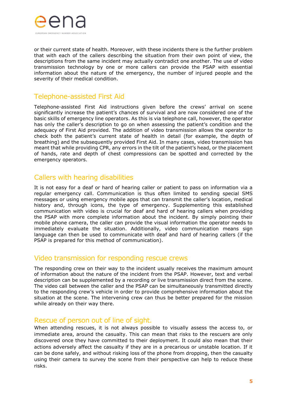

or their current state of health. Moreover, with these incidents there is the further problem that with each of the callers describing the situation from their own point of view, the descriptions from the same incident may actually contradict one another. The use of video transmission technology by one or more callers can provide the PSAP with essential information about the nature of the emergency, the number of injured people and the severity of their medical condition.

## <span id="page-4-0"></span>Telephone-assisted First Aid

Telephone-assisted First Aid instructions given before the crews' arrival on scene significantly increase the patient's chances of survival and are now considered one of the basic skills of emergency line operators. As this is via telephone call, however, the operator has only the caller's description to go on when assessing the patient's condition and the adequacy of First Aid provided. The addition of video transmission allows the operator to check both the patient's current state of health in detail (for example, the depth of breathing) and the subsequently provided First Aid. In many cases, video transmission has meant that while providing CPR, any errors in the tilt of the patient's head, or the placement of hands, rate and depth of chest compressions can be spotted and corrected by the emergency operators.

## <span id="page-4-1"></span>Callers with hearing disabilities

It is not easy for a deaf or hard of hearing caller or patient to pass on information via a regular emergency call. Communication is thus often limited to sending special SMS messages or using emergency mobile apps that can transmit the caller's location, medical history and, through icons, the type of emergency. Supplementing this established communication with video is crucial for deaf and hard of hearing callers when providing the PSAP with more complete information about the incident. By simply pointing their mobile phone camera, the caller can provide the visual information the operator needs to immediately evaluate the situation. Additionally, video communication means sign language can then be used to communicate with deaf and hard of hearing callers (if the PSAP is prepared for this method of communication).

## <span id="page-4-2"></span>Video transmission for responding rescue crews

The responding crew on their way to the incident usually receives the maximum amount of information about the nature of the incident from the PSAP. However, text and verbal description can be supplemented by a recording or live transmission direct from the scene. The video call between the caller and the PSAP can be simultaneously transmitted directly to the responding crew's vehicle in order to provide comprehensive information about the situation at the scene. The intervening crew can thus be better prepared for the mission while already on their way there.

## <span id="page-4-3"></span>Rescue of person out of line of sight.

When attending rescues, it is not always possible to visually assess the access to, or immediate area, around the casualty. This can mean that risks to the rescuers are only discovered once they have committed to their deployment. It could also mean that their actions adversely affect the casualty if they are in a precarious or unstable location. If it can be done safely, and without risking loss of the phone from dropping, then the casualty using their camera to survey the scene from their perspective can help to reduce these risks.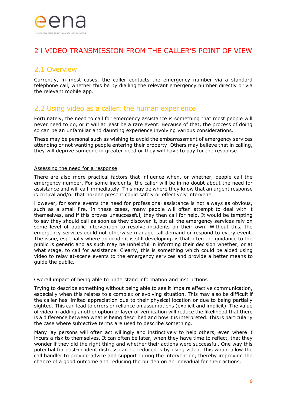

## <span id="page-5-0"></span>2 l VIDEO TRANSMISSION FROM THE CALLER'S POINT OF VIEW

## <span id="page-5-1"></span>2.1 Overview

Currently, in most cases, the caller contacts the emergency number via a standard telephone call, whether this be by dialling the relevant emergency number directly or via the relevant mobile app.

## <span id="page-5-2"></span>2.2 Using video as a caller: the human experience

Fortunately, the need to call for emergency assistance is something that most people will never need to do, or it will at least be a rare event. Because of that, the process of doing so can be an unfamiliar and daunting experience involving various considerations.

These may be personal such as wishing to avoid the embarrassment of emergency services attending or not wanting people entering their property. Others may believe that in calling, they will deprive someone in greater need or they will have to pay for the response.

#### Assessing the need for a response

There are also more practical factors that influence when, or whether, people call the emergency number. For some incidents, the caller will be in no doubt about the need for assistance and will call immediately. This may be where they know that an urgent response is critical and/or that no-one present could safely or effectively intervene.

However, for some events the need for professional assistance is not always as obvious, such as a small fire. In these cases, many people will often attempt to deal with it themselves, and if this proves unsuccessful, they then call for help. It would be tempting to say they should call as soon as they discover it, but all the emergency services rely on some level of public intervention to resolve incidents on their own. Without this, the emergency services could not otherwise manage call demand or respond to every event. The issue, especially where an incident is still developing, is that often the guidance to the public is generic and as such may be unhelpful in informing their decision whether, or at what stage, to call for assistance. Clearly, this is something which could be aided using video to relay at-scene events to the emergency services and provide a better means to guide the public.

#### Overall impact of being able to understand information and instructions

Trying to describe something without being able to see it impairs effective communication, especially when this relates to a complex or evolving situation. This may also be difficult if the caller has limited appreciation due to their physical location or due to being partially sighted. This can lead to errors or reliance on assumptions (explicit and implicit). The value of video in adding another option or layer of verification will reduce the likelihood that there is a difference between what is being described and how it is interpreted. This is particularly the case where subjective terms are used to describe something.

Many lay persons will often act willingly and instinctively to help others, even where it incurs a risk to themselves. It can often be later, when they have time to reflect, that they wonder if they did the right thing and whether their actions were successful. One way this potential for post-incident distress can be reduced is by using video. This would allow the call handler to provide advice and support during the intervention, thereby improving the chance of a good outcome and reducing the burden on an individual for their actions.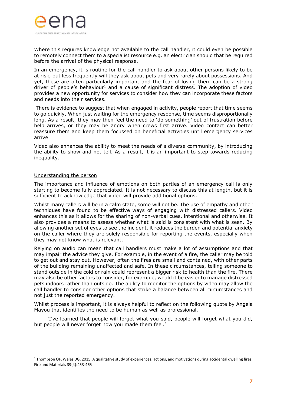

Where this requires knowledge not available to the call handler, it could even be possible to remotely connect them to a specialist resource e.g. an electrician should that be required before the arrival of the physical response.

In an emergency, it is routine for the call handler to ask about other persons likely to be at risk, but less frequently will they ask about pets and very rarely about possessions. And yet, these are often particularly important and the fear of losing them can be a strong driver of people's behaviour<sup>1</sup> and a cause of significant distress. The adoption of video provides a new opportunity for services to consider how they can incorporate these factors and needs into their services.

There is evidence to suggest that when engaged in activity, people report that time seems to go quickly. When just waiting for the emergency response, time seems disproportionally long. As a result, they may then feel the need to 'do something' out of frustration before help arrives, or they may be angry when crews first arrive. Video contact can better reassure them and keep them focussed on beneficial activities until emergency services arrive.

Video also enhances the ability to meet the needs of a diverse community, by introducing the ability to show and not tell. As a result, it is an important to step towards reducing inequality.

#### Understanding the person

The importance and influence of emotions on both parties of an emergency call is only starting to become fully appreciated. It is not necessary to discuss this at length, but it is sufficient to acknowledge that video will provide additional options.

Whilst many callers will be in a calm state, some will not be. The use of empathy and other techniques have found to be effective ways of engaging with distressed callers. Video enhances this as it allows for the sharing of non-verbal cues, intentional and otherwise. It also provides a means to assess whether what is said is consistent with what is seen. By allowing another set of eyes to see the incident, it reduces the burden and potential anxiety on the caller where they are solely responsible for reporting the events, especially when they may not know what is relevant.

Relying on audio can mean that call handlers must make a lot of assumptions and that may impair the advice they give. For example, in the event of a fire, the caller may be told to get out and stay out. However, often the fires are small and contained, with other parts of the building remaining unaffected and safe. In these circumstances, telling someone to stand outside in the cold or rain could represent a bigger risk to health than the fire. There may also be other factors to consider, for example, would it be easier to manage distressed pets indoors rather than outside. The ability to monitor the options by video may allow the call handler to consider other options that strike a balance between all circumstances and not just the reported emergency.

Whilst process is important, it is always helpful to reflect on the following quote by Angela Mayou that identifies the need to be human as well as professional.

'I've learned that people will forget what you said, people will forget what you did, but people will never forget how you made them feel.'

<sup>&</sup>lt;sup>1</sup> Thompson OF, Wales DG. 2015. A qualitative study of experiences, actions, and motivations during accidental dwelling fires. Fire and Materials 39(4):453-465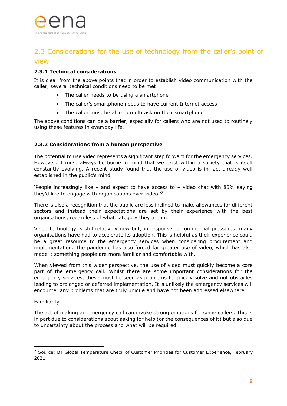

## <span id="page-7-0"></span>2.3 Considerations for the use of technology from the caller's point of view

### **2.3.1 Technical considerations**

It is clear from the above points that in order to establish video communication with the caller, several technical conditions need to be met:

- The caller needs to be using a smartphone
- The caller's smartphone needs to have current Internet access
- The caller must be able to multitask on their smartphone

The above conditions can be a barrier, especially for callers who are not used to routinely using these features in everyday life.

### **2.3.2 Considerations from a human perspective**

The potential to use video represents a significant step forward for the emergency services. However, it must always be borne in mind that we exist within a society that is itself constantly evolving. A recent study found that the use of video is in fact already well established in the public's mind.

'People increasingly like – and expect to have access to – video chat with 85% saying they'd like to engage with organisations over video.'<sup>2</sup>

There is also a recognition that the public are less inclined to make allowances for different sectors and instead their expectations are set by their experience with the best organisations, regardless of what category they are in.

Video technology is still relatively new but, in response to commercial pressures, many organisations have had to accelerate its adoption. This is helpful as their experience could be a great resource to the emergency services when considering procurement and implementation. The pandemic has also forced far greater use of video, which has also made it something people are more familiar and comfortable with.

When viewed from this wider perspective, the use of video must quickly become a core part of the emergency call. Whilst there are some important considerations for the emergency services, these must be seen as problems to quickly solve and not obstacles leading to prolonged or deferred implementation. It is unlikely the emergency services will encounter any problems that are truly unique and have not been addressed elsewhere.

### Familiarity

The act of making an emergency call can invoke strong emotions for some callers. This is in part due to considerations about asking for help (or the consequences of it) but also due to uncertainty about the process and what will be required.

<sup>&</sup>lt;sup>2</sup> Source: BT Global Temperature Check of Customer Priorities for Customer Experience, February 2021.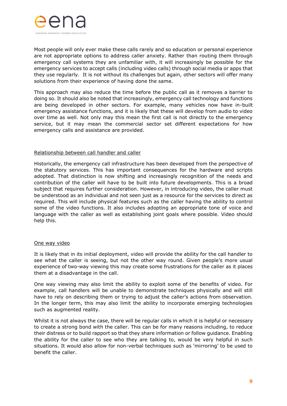

Most people will only ever make these calls rarely and so education or personal experience are not appropriate options to address caller anxiety. Rather than routing them through emergency call systems they are unfamiliar with, it will increasingly be possible for the emergency services to accept calls (including video calls) through social media or apps that they use regularly. It is not without its challenges but again, other sectors will offer many solutions from their experience of having done the same.

This approach may also reduce the time before the public call as it removes a barrier to doing so. It should also be noted that increasingly, emergency call technology and functions are being developed in other sectors. For example, many vehicles now have in-built emergency assistance functions, and it is likely that these will develop from audio to video over time as well. Not only may this mean the first call is not directly to the emergency service, but it may mean the commercial sector set different expectations for how emergency calls and assistance are provided.

#### Relationship between call handler and caller

Historically, the emergency call infrastructure has been developed from the perspective of the statutory services. This has important consequences for the hardware and scripts adopted. That distinction is now shifting and increasingly recognition of the needs and contribution of the caller will have to be built into future developments. This is a broad subject that requires further consideration. However, in introducing video, the caller must be understood as an individual and not seen just as a resource for the services to direct as required. This will include physical features such as the caller having the ability to control some of the video functions. It also includes adopting an appropriate tone of voice and language with the caller as well as establishing joint goals where possible. Video should help this.

#### One way video

It is likely that in its initial deployment, video will provide the ability for the call handler to see what the caller is seeing, but not the other way round. Given people's more usual experience of two-way viewing this may create some frustrations for the caller as it places them at a disadvantage in the call.

One way viewing may also limit the ability to exploit some of the benefits of video. For example, call handlers will be unable to demonstrate techniques physically and will still have to rely on describing them or trying to adjust the caller's actions from observation. In the longer term, this may also limit the ability to incorporate emerging technologies such as augmented reality.

Whilst it is not always the case, there will be regular calls in which it is helpful or necessary to create a strong bond with the caller. This can be for many reasons including, to reduce their distress or to build rapport so that they share information or follow guidance. Enabling the ability for the caller to see who they are talking to, would be very helpful in such situations. It would also allow for non-verbal techniques such as 'mirroring' to be used to benefit the caller.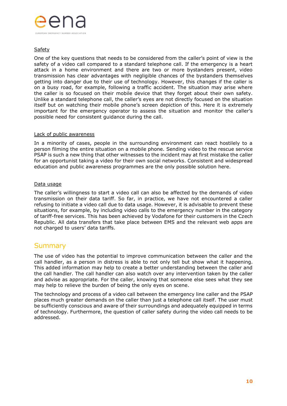

### Safety

One of the key questions that needs to be considered from the caller's point of view is the safety of a video call compared to a standard telephone call. If the emergency is a heart attack in a home environment and there are two or more bystanders present, video transmission has clear advantages with negligible chances of the bystanders themselves getting into danger due to their use of technology. However, this changes if the caller is on a busy road, for example, following a traffic accident. The situation may arise where the caller is so focused on their mobile device that they forget about their own safety. Unlike a standard telephone call, the caller's eyes are not directly focused on the situation itself but on watching their mobile phone's screen depiction of this. Here it is extremely important for the emergency operator to assess the situation and monitor the caller's possible need for consistent guidance during the call.

#### Lack of public awareness

In a minority of cases, people in the surrounding environment can react hostilely to a person filming the entire situation on a mobile phone. Sending video to the rescue service PSAP is such a new thing that other witnesses to the incident may at first mistake the caller for an opportunist taking a video for their own social networks. Consistent and widespread education and public awareness programmes are the only possible solution here.

#### Data usage

The caller's willingness to start a video call can also be affected by the demands of video transmission on their data tariff. So far, in practice, we have not encountered a caller refusing to initiate a video call due to data usage. However, it is advisable to prevent these situations, for example, by including video calls to the emergency number in the category of tariff-free services. This has been achieved by Vodafone for their customers in the Czech Republic. All data transfers that take place between EMS and the relevant web apps are not charged to users' data tariffs.

## <span id="page-9-0"></span>**Summary**

The use of video has the potential to improve communication between the caller and the call handler, as a person in distress is able to not only tell but show what it happening. This added information may help to create a better understanding between the caller and the call handler. The call handler can also watch over any intervention taken by the caller and advise as appropriate. For the caller, knowing that someone else sees what they see may help to relieve the burden of being the only eyes on scene.

The technology and process of a video call between the emergency line caller and the PSAP places much greater demands on the caller than just a telephone call itself. The user must be sufficiently conscious and aware of their surroundings and adequately equipped in terms of technology. Furthermore, the question of caller safety during the video call needs to be addressed.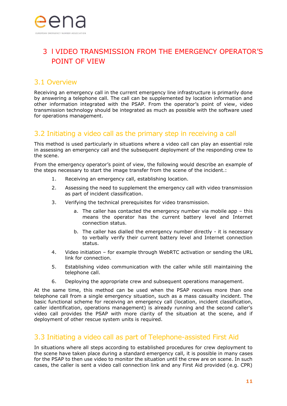

## <span id="page-10-0"></span>3 l VIDEO TRANSMISSION FROM THE EMERGENCY OPERATOR'S POINT OF VIEW

## <span id="page-10-1"></span>3.1 Overview

Receiving an emergency call in the current emergency line infrastructure is primarily done by answering a telephone call. The call can be supplemented by location information and other information integrated with the PSAP. From the operator's point of view, video transmission technology should be integrated as much as possible with the software used for operations management.

## <span id="page-10-2"></span>3.2 Initiating a video call as the primary step in receiving a call

This method is used particularly in situations where a video call can play an essential role in assessing an emergency call and the subsequent deployment of the responding crew to the scene.

From the emergency operator's point of view, the following would describe an example of the steps necessary to start the image transfer from the scene of the incident.:

- 1. Receiving an emergency call, establishing location.
- 2. Assessing the need to supplement the emergency call with video transmission as part of incident classification.
- 3. Verifying the technical prerequisites for video transmission.
	- a. The caller has contacted the emergency number via mobile app this means the operator has the current battery level and Internet connection status.
	- b. The caller has dialled the emergency number directly it is necessary to verbally verify their current battery level and Internet connection status.
- 4. Video initiation for example through WebRTC activation or sending the URL link for connection.
- 5. Establishing video communication with the caller while still maintaining the telephone call.
- 6. Deploying the appropriate crew and subsequent operations management.

At the same time, this method can be used when the PSAP receives more than one telephone call from a single emergency situation, such as a mass casualty incident. The basic functional scheme for receiving an emergency call (location, incident classification, caller identification, operations management) is already running and the second caller's video call provides the PSAP with more clarity of the situation at the scene, and if deployment of other rescue system units is required.

## <span id="page-10-3"></span>3.3 Initiating a video call as part of Telephone-assisted First Aid

In situations where all steps according to established procedures for crew deployment to the scene have taken place during a standard emergency call, it is possible in many cases for the PSAP to then use video to monitor the situation until the crew are on scene. In such cases, the caller is sent a video call connection link and any First Aid provided (e.g. CPR)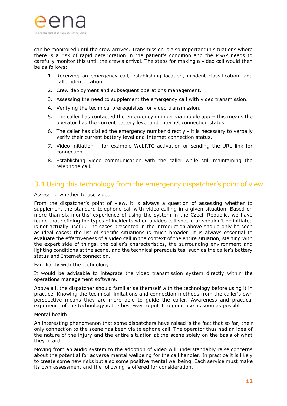

can be monitored until the crew arrives. Transmission is also important in situations where there is a risk of rapid deterioration in the patient's condition and the PSAP needs to carefully monitor this until the crew's arrival. The steps for making a video call would then be as follows:

- 1. Receiving an emergency call, establishing location, incident classification, and caller identification.
- 2. Crew deployment and subsequent operations management.
- 3. Assessing the need to supplement the emergency call with video transmission.
- 4. Verifying the technical prerequisites for video transmission.
- 5. The caller has contacted the emergency number via mobile app this means the operator has the current battery level and Internet connection status.
- 6. The caller has dialled the emergency number directly it is necessary to verbally verify their current battery level and Internet connection status.
- 7. Video initiation for example WebRTC activation or sending the URL link for connection.
- 8. Establishing video communication with the caller while still maintaining the telephone call.

## <span id="page-11-0"></span>3.4 Using this technology from the emergency dispatcher's point of view

#### Assessing whether to use video

From the dispatcher's point of view, it is always a question of assessing whether to supplement the standard telephone call with video calling in a given situation. Based on more than six months' experience of using the system in the Czech Republic, we have found that defining the types of incidents when a video call should or shouldn't be initiated is not actually useful. The cases presented in the introduction above should only be seen as ideal cases; the list of specific situations is much broader. It is always essential to evaluate the effectiveness of a video call in the context of the entire situation, starting with the expert side of things, the caller's characteristics, the surrounding environment and lighting conditions at the scene, and the technical prerequisites, such as the caller's battery status and Internet connection.

#### Familiarity with the technology

It would be advisable to integrate the video transmission system directly within the operations management software.

Above all, the dispatcher should familiarise themself with the technology before using it in practice. Knowing the technical limitations and connection methods from the caller's own perspective means they are more able to guide the caller. Awareness and practical experience of the technology is the best way to put it to good use as soon as possible.

#### Mental health

An interesting phenomenon that some dispatchers have raised is the fact that so far, their only connection to the scene has been via telephone call. The operator thus had an idea of the nature of the injury and the entire situation at the scene solely on the basis of what they heard.

Moving from an audio system to the adoption of video will understandably raise concerns about the potential for adverse mental wellbeing for the call handler. In practice it is likely to create some new risks but also some positive mental wellbeing. Each service must make its own assessment and the following is offered for consideration.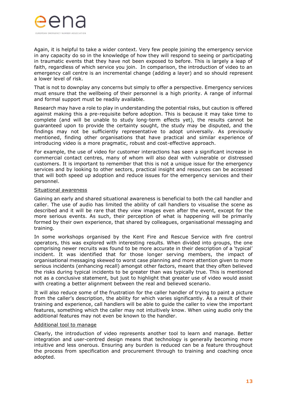

Again, it is helpful to take a wider context. Very few people joining the emergency service in any capacity do so in the knowledge of how they will respond to seeing or participating in traumatic events that they have not been exposed to before. This is largely a leap of faith, regardless of which service you join. In comparison, the introduction of video to an emergency call centre is an incremental change (adding a layer) and so should represent a lower level of risk.

That is not to downplay any concerns but simply to offer a perspective. Emergency services must ensure that the wellbeing of their personnel is a high priority. A range of informal and formal support must be readily available.

Research may have a role to play in understanding the potential risks, but caution is offered against making this a pre-requisite before adoption. This is because it may take time to complete (and will be unable to study long-term effects yet), the results cannot be guaranteed upon to provide the certainty sought, the study may be disputed, and the findings may not be sufficiently representative to adopt universally. As previously mentioned, finding other organisations that have practical and similar experience of introducing video is a more pragmatic, robust and cost-effective approach.

For example, the use of video for customer interactions has seen a significant increase in commercial contact centres, many of whom will also deal with vulnerable or distressed customers. It is important to remember that this is not a unique issue for the emergency services and by looking to other sectors, practical insight and resources can be accessed that will both speed up adoption and reduce issues for the emergency services and their personnel.

#### Situational awareness

Gaining an early and shared situational awareness is beneficial to both the call handler and caller. The use of audio has limited the ability of call handlers to visualise the scene as described and it will be rare that they view images even after the event, except for the more serious events. As such, their perception of what is happening will be primarily formed by their own experience, that shared by colleagues, organisational messaging and training.

In some workshops organised by the Kent Fire and Rescue Service with fire control operators, this was explored with interesting results. When divided into groups, the one comprising newer recruits was found to be more accurate in their description of a 'typical' incident. It was identified that for those longer serving members, the impact of organisational messaging skewed to worst case planning and more attention given to more serious incidents (enhancing recall) amongst other factors, meant that they often believed the risks during typical incidents to be greater than was typically true. This is mentioned not as a conclusive statement, but just to highlight that greater use of video would assist with creating a better alignment between the real and believed scenario.

It will also reduce some of the frustration for the caller handler of trying to paint a picture from the caller's description, the ability for which varies significantly. As a result of their training and experience, call handlers will be able to guide the caller to view the important features, something which the caller may not intuitively know. When using audio only the additional features may not even be known to the handler.

#### Additional tool to manage

Clearly, the introduction of video represents another tool to learn and manage. Better integration and user-centred design means that technology is generally becoming more intuitive and less onerous. Ensuring any burden is reduced can be a feature throughout the process from specification and procurement through to training and coaching once adopted.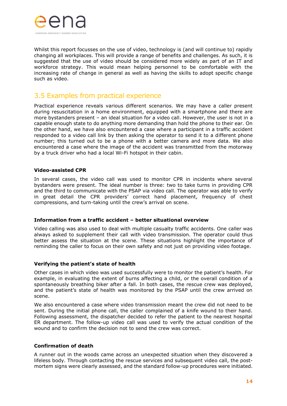

Whilst this report focusses on the use of video, technology is (and will continue to) rapidly changing all workplaces. This will provide a range of benefits and challenges. As such, it is suggested that the use of video should be considered more widely as part of an IT and workforce strategy. This would mean helping personnel to be comfortable with the increasing rate of change in general as well as having the skills to adopt specific change such as video.

## <span id="page-13-0"></span>3.5 Examples from practical experience

Practical experience reveals various different scenarios. We may have a caller present during resuscitation in a home environment, equipped with a smartphone and there are more bystanders present – an ideal situation for a video call. However, the user is not in a capable enough state to do anything more demanding than hold the phone to their ear. On the other hand, we have also encountered a case where a participant in a traffic accident responded to a video call link by then asking the operator to send it to a different phone number; this turned out to be a phone with a better camera and more data. We also encountered a case where the image of the accident was transmitted from the motorway by a truck driver who had a local Wi-Fi hotspot in their cabin.

#### **Video-assisted CPR**

In several cases, the video call was used to monitor CPR in incidents where several bystanders were present. The ideal number is three: two to take turns in providing CPR and the third to communicate with the PSAP via video call. The operator was able to verify in great detail the CPR providers' correct hand placement, frequency of chest compressions, and turn-taking until the crew's arrival on scene.

### **Information from a traffic accident – better situational overview**

Video calling was also used to deal with multiple casualty traffic accidents. One caller was always asked to supplement their call with video transmission. The operator could thus better assess the situation at the scene. These situations highlight the importance of reminding the caller to focus on their own safety and not just on providing video footage.

#### **Verifying the patient's state of health**

Other cases in which video was used successfully were to monitor the patient's health. For example, in evaluating the extent of burns affecting a child, or the overall condition of a spontaneously breathing biker after a fall. In both cases, the rescue crew was deployed, and the patient's state of health was monitored by the PSAP until the crew arrived on scene.

We also encountered a case where video transmission meant the crew did not need to be sent. During the initial phone call, the caller complained of a knife wound to their hand. Following assessment, the dispatcher decided to refer the patient to the nearest hospital ER department. The follow-up video call was used to verify the actual condition of the wound and to confirm the decision not to send the crew was correct.

#### **Confirmation of death**

A runner out in the woods came across an unexpected situation when they discovered a lifeless body. Through contacting the rescue services and subsequent video call, the postmortem signs were clearly assessed, and the standard follow-up procedures were initiated.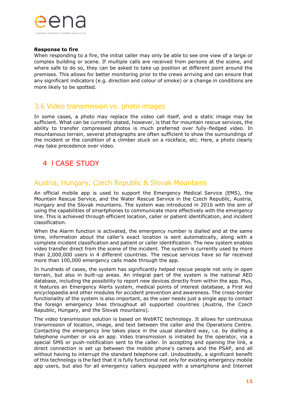

#### **Response to fire**

When responding to a fire, the initial caller may only be able to see one view of a large or complex building or scene. If multiple calls are received from persons at the scene, and where safe to do so, they can be asked to take up position at different point around the premises. This allows for better monitoring prior to the crews arriving and can ensure that any significant indicators (e.g. direction and colour of smoke) or a change in conditions are more likely to be spotted.

## <span id="page-14-0"></span>3.6 Video transmission vs. photo images

In some cases, a photo may replace the video call itself, and a static image may be sufficient. What can be currently stated, however, is that for mountain rescue services, the ability to transfer compressed photos is much preferred over fully-fledged video. In mountainous terrain, several photographs are often sufficient to show the surroundings of the incident or the condition of a climber stuck on a rockface, etc. Here, a photo clearly may take precedence over video.

## <span id="page-14-1"></span>4 l CASE STUDY

## <span id="page-14-2"></span>Austria, Hungary, Czech Republic & Slovak Mountains

An official mobile app is used to support the Emergency Medical Service (EMS), the Mountain Rescue Service, and the Water Rescue Service in the Czech Republic, Austria, Hungary and the Slovak mountains. The system was introduced in 2016 with the aim of using the capabilities of smartphones to communicate more effectively with the emergency line. This is achieved through efficient location, caller or patient identification, and incident classification.

When the Alarm function is activated, the emergency number is dialled and at the same time, information about the caller's exact location is sent automatically, along with a complete incident classification and patient or caller identification. The new system enables video transfer direct from the scene of the incident. The system is currently used by more than 2,000,000 users in 4 different countries. The rescue services have so far received more than 100,000 emergency calls made through the app.

In hundreds of cases, the system has significantly helped rescue people not only in open terrain, but also in built-up areas. An integral part of the system is the national AED database, including the possibility to report new devices directly from within the app. Plus, it features an Emergency Alerts system, medical points of interest database, a First Aid encyclopaedia and other modules for accident prevention and awareness. The cross-border functionality of the system is also important, as the user needs just a single app to contact the foreign emergency lines throughout all supported countries (Austria, the Czech Republic, Hungary, and the Slovak mountains).

The video transmission solution is based on WebRTC technology. It allows for continuous transmission of location, image, and text between the caller and the Operations Centre. Contacting the emergency line takes place in the usual standard way, i.e. by dialling a telephone number or via an app. Video transmission is initiated by the operator, via a special SMS or push-notification sent to the caller. In accepting and opening the link, a direct connection is set up between the mobile phone's camera and the PSAP, and all without having to interrupt the standard telephone call. Undoubtedly, a significant benefit of this technology is the fact that it is fully functional not only for existing emergency mobile app users, but also for all emergency callers equipped with a smartphone and Internet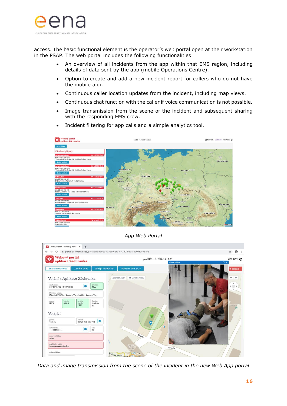

access. The basic functional element is the operator's web portal open at their workstation in the PSAP. The web portal includes the following functionalities:

- An overview of all incidents from the app within that EMS region, including details of data sent by the app (mobile Operations Centre).
- Option to create and add a new incident report for callers who do not have the mobile app.
- Continuous caller location updates from the incident, including map views.
- Continuous chat function with the caller if voice communication is not possible.
- Image transmission from the scene of the incident and subsequent sharing with the responding EMS crew.



• Incident filtering for app calls and a simple analytics tool.

*App Web Portal*



*Data and image transmission from the scene of the incident in the new Web App portal*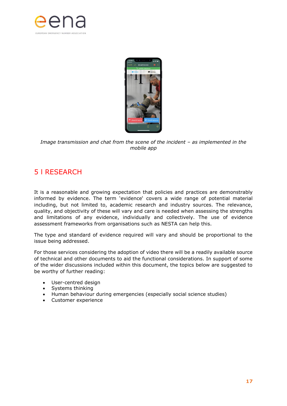



*Image transmission and chat from the scene of the incident – as implemented in the mobile app*

## <span id="page-16-0"></span>5 l RESEARCH

It is a reasonable and growing expectation that policies and practices are demonstrably informed by evidence. The term 'evidence' covers a wide range of potential material including, but not limited to, academic research and industry sources. The relevance, quality, and objectivity of these will vary and care is needed when assessing the strengths and limitations of any evidence, individually and collectively. The use of evidence assessment frameworks from organisations such as NESTA can help this.

The type and standard of evidence required will vary and should be proportional to the issue being addressed.

For those services considering the adoption of video there will be a readily available source of technical and other documents to aid the functional considerations. In support of some of the wider discussions included within this document, the topics below are suggested to be worthy of further reading:

- User-centred design
- Systems thinking
- Human behaviour during emergencies (especially social science studies)
- Customer experience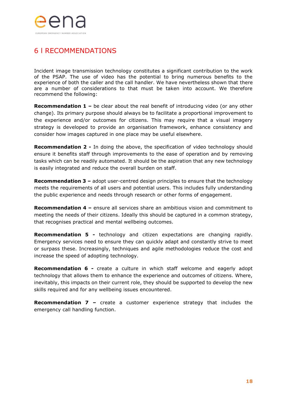

## <span id="page-17-0"></span>6 l RECOMMENDATIONS

Incident image transmission technology constitutes a significant contribution to the work of the PSAP. The use of video has the potential to bring numerous benefits to the experience of both the caller and the call handler. We have nevertheless shown that there are a number of considerations to that must be taken into account. We therefore recommend the following:

**Recommendation 1 –** be clear about the real benefit of introducing video (or any other change). Its primary purpose should always be to facilitate a proportional improvement to the experience and/or outcomes for citizens. This may require that a visual imagery strategy is developed to provide an organisation framework, enhance consistency and consider how images captured in one place may be useful elsewhere.

**Recommendation 2 -** In doing the above, the specification of video technology should ensure it benefits staff through improvements to the ease of operation and by removing tasks which can be readily automated. It should be the aspiration that any new technology is easily integrated and reduce the overall burden on staff.

**Recommendation 3 –** adopt user-centred design principles to ensure that the technology meets the requirements of all users and potential users. This includes fully understanding the public experience and needs through research or other forms of engagement.

**Recommendation 4 –** ensure all services share an ambitious vision and commitment to meeting the needs of their citizens. Ideally this should be captured in a common strategy, that recognises practical and mental wellbeing outcomes.

**Recommendation 5 -** technology and citizen expectations are changing rapidly. Emergency services need to ensure they can quickly adapt and constantly strive to meet or surpass these. Increasingly, techniques and agile methodologies reduce the cost and increase the speed of adopting technology.

**Recommendation 6 -** create a culture in which staff welcome and eagerly adopt technology that allows them to enhance the experience and outcomes of citizens. Where, inevitably, this impacts on their current role, they should be supported to develop the new skills required and for any wellbeing issues encountered.

**Recommendation 7 –** create a customer experience strategy that includes the emergency call handling function.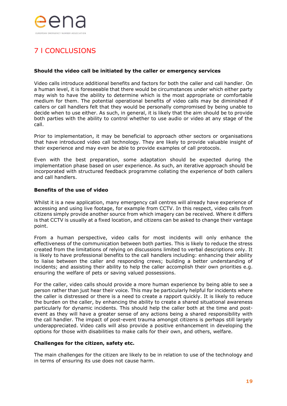

## <span id="page-18-0"></span>**7 LCONCLUSIONS**

#### **Should the video call be initiated by the caller or emergency services**

Video calls introduce additional benefits and factors for both the caller and call handler. On a human level, it is foreseeable that there would be circumstances under which either party may wish to have the ability to determine which is the most appropriate or comfortable medium for them. The potential operational benefits of video calls may be diminished if callers or call handlers felt that they would be personally compromised by being unable to decide when to use either. As such, in general, it is likely that the aim should be to provide both parties with the ability to control whether to use audio or video at any stage of the call.

Prior to implementation, it may be beneficial to approach other sectors or organisations that have introduced video call technology. They are likely to provide valuable insight of their experience and may even be able to provide examples of call protocols.

Even with the best preparation, some adaptation should be expected during the implementation phase based on user experience. As such, an iterative approach should be incorporated with structured feedback programme collating the experience of both callers and call handlers.

#### **Benefits of the use of video**

Whilst it is a new application, many emergency call centres will already have experience of accessing and using live footage, for example from CCTV. In this respect, video calls from citizens simply provide another source from which imagery can be received. Where it differs is that CCTV is usually at a fixed location, and citizens can be asked to change their vantage point.

From a human perspective, video calls for most incidents will only enhance the effectiveness of the communication between both parties. This is likely to reduce the stress created from the limitations of relying on discussions limited to verbal descriptions only. It is likely to have professional benefits to the call handlers including: enhancing their ability to liaise between the caller and responding crews; building a better understanding of incidents; and assisting their ability to help the caller accomplish their own priorities e.g. ensuring the welfare of pets or saving valued possessions.

For the caller, video calls should provide a more human experience by being able to see a person rather than just hear their voice. This may be particularly helpful for incidents where the caller is distressed or there is a need to create a rapport quickly. It is likely to reduce the burden on the caller, by enhancing the ability to create a shared situational awareness particularly for dynamic incidents. This should help the caller both at the time and postevent as they will have a greater sense of any actions being a shared responsibility with the call handler. The impact of post-event trauma amongst citizens is perhaps still largely underappreciated. Video calls will also provide a positive enhancement in developing the options for those with disabilities to make calls for their own, and others, welfare.

#### **Challenges for the citizen, safety etc.**

The main challenges for the citizen are likely to be in relation to use of the technology and in terms of ensuring its use does not cause harm.